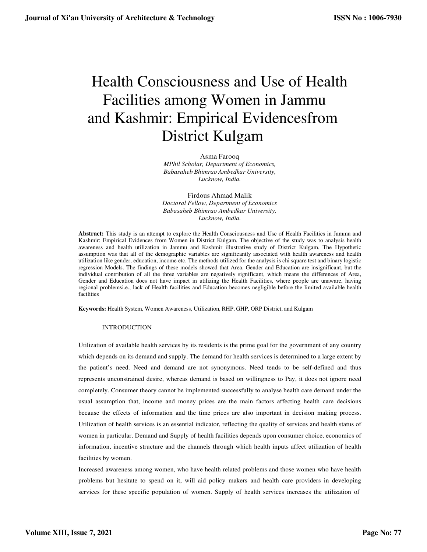# Health Consciousness and Use of Health Facilities among Women in Jammu and Kashmir: Empirical Evidencesfrom District Kulgam

Asma Farooq

*MPhil Scholar, Department of Economics, Babasaheb Bhimrao Ambedkar University, Lucknow, India.*

Firdous Ahmad Malik *Doctoral Fellow, Department of Economics Babasaheb Bhimrao Ambedkar University, Lucknow, India.*

**Abstract:** This study is an attempt to explore the Health Consciousness and Use of Health Facilities in Jammu and Kashmir: Empirical Evidences from Women in District Kulgam. The objective of the study was to analysis health awareness and health utilization in Jammu and Kashmir illustrative study of District Kulgam. The Hypothetic assumption was that all of the demographic variables are significantly associated with health awareness and health utilization like gender, education, income etc. The methods utilized for the analysis is chi square test and binary logistic regression Models. The findings of these models showed that Area, Gender and Education are insignificant, but the individual contribution of all the three variables are negatively significant, which means the differences of Area, Gender and Education does not have impact in utilizing the Health Facilities, where people are unaware, having regional problemsi.e., lack of Health facilities and Education becomes negligible before the limited available health facilities

**Keywords:** Health System, Women Awareness, Utilization, RHP, GHP, ORP District, and Kulgam

### INTRODUCTION

Utilization of available health services by its residents is the prime goal for the government of any country which depends on its demand and supply. The demand for health services is determined to a large extent by the patient's need. Need and demand are not synonymous. Need tends to be self-defined and thus represents unconstrained desire, whereas demand is based on willingness to Pay, it does not ignore need completely. Consumer theory cannot be implemented successfully to analyse health care demand under the usual assumption that, income and money prices are the main factors affecting health care decisions because the effects of information and the time prices are also important in decision making process. Utilization of health services is an essential indicator, reflecting the quality of services and health status of women in particular. Demand and Supply of health facilities depends upon consumer choice, economics of information, incentive structure and the channels through which health inputs affect utilization of health facilities by women.

Increased awareness among women, who have health related problems and those women who have health problems but hesitate to spend on it, will aid policy makers and health care providers in developing services for these specific population of women. Supply of health services increases the utilization of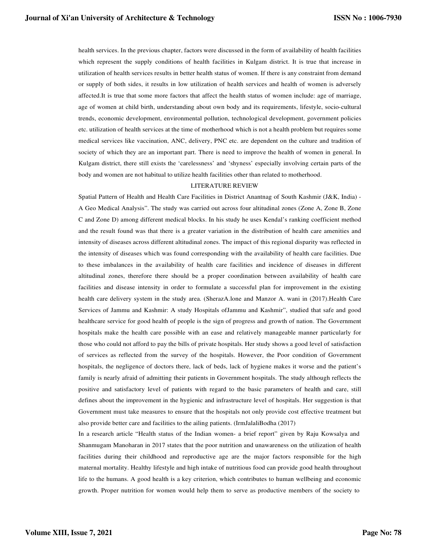health services. In the previous chapter, factors were discussed in the form of availability of health facilities which represent the supply conditions of health facilities in Kulgam district. It is true that increase in utilization of health services results in better health status of women. If there is any constraint from demand or supply of both sides, it results in low utilization of health services and health of women is adversely affected.It is true that some more factors that affect the health status of women include: age of marriage, age of women at child birth, understanding about own body and its requirements, lifestyle, socio-cultural trends, economic development, environmental pollution, technological development, government policies etc. utilization of health services at the time of motherhood which is not a health problem but requires some medical services like vaccination, ANC, delivery, PNC etc. are dependent on the culture and tradition of society of which they are an important part. There is need to improve the health of women in general. In Kulgam district, there still exists the 'carelessness' and 'shyness' especially involving certain parts of the body and women are not habitual to utilize health facilities other than related to motherhood.

### LITERATURE REVIEW

Spatial Pattern of Health and Health Care Facilities in District Anantnag of South Kashmir (J&K, India) - A Geo Medical Analysis". The study was carried out across four altitudinal zones (Zone A, Zone B, Zone C and Zone D) among different medical blocks. In his study he uses Kendal's ranking coefficient method and the result found was that there is a greater variation in the distribution of health care amenities and intensity of diseases across different altitudinal zones. The impact of this regional disparity was reflected in the intensity of diseases which was found corresponding with the availability of health care facilities. Due to these imbalances in the availability of health care facilities and incidence of diseases in different altitudinal zones, therefore there should be a proper coordination between availability of health care facilities and disease intensity in order to formulate a successful plan for improvement in the existing health care delivery system in the study area. (SherazA.lone and Manzor A. wani in (2017).Health Care Services of Jammu and Kashmir: A study Hospitals ofJammu and Kashmir", studied that safe and good healthcare service for good health of people is the sign of progress and growth of nation. The Government hospitals make the health care possible with an ease and relatively manageable manner particularly for those who could not afford to pay the bills of private hospitals. Her study shows a good level of satisfaction of services as reflected from the survey of the hospitals. However, the Poor condition of Government hospitals, the negligence of doctors there, lack of beds, lack of hygiene makes it worse and the patient's family is nearly afraid of admitting their patients in Government hospitals. The study although reflects the positive and satisfactory level of patients with regard to the basic parameters of health and care, still defines about the improvement in the hygienic and infrastructure level of hospitals. Her suggestion is that Government must take measures to ensure that the hospitals not only provide cost effective treatment but also provide better care and facilities to the ailing patients. (IrmJalaliBodha (2017)

In a research article "Health status of the Indian women- a brief report" given by Raju Kowsalya and Shanmugam Manoharan in 2017 states that the poor nutrition and unawareness on the utilization of health facilities during their childhood and reproductive age are the major factors responsible for the high maternal mortality. Healthy lifestyle and high intake of nutritious food can provide good health throughout life to the humans. A good health is a key criterion, which contributes to human wellbeing and economic growth. Proper nutrition for women would help them to serve as productive members of the society to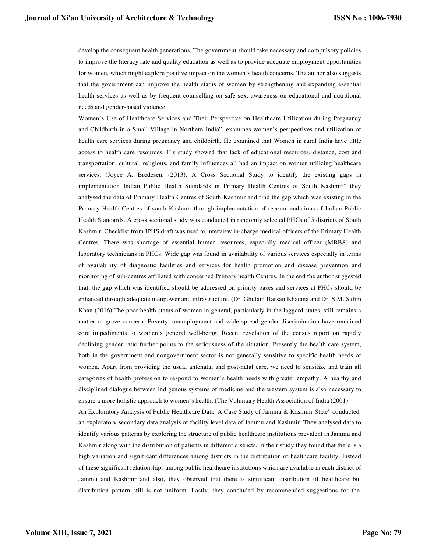develop the consequent health generations. The government should take necessary and compulsory policies to improve the literacy rate and quality education as well as to provide adequate employment opportunities for women, which might explore positive impact on the women's health concerns. The author also suggests that the government can improve the health status of women by strengthening and expanding essential health services as well as by frequent counselling on safe sex, awareness on educational and nutritional needs and gender-based violence.

Women's Use of Healthcare Services and Their Perspective on Healthcare Utilization during Pregnancy and Childbirth in a Small Village in Northern India", examines women's perspectives and utilization of health care services during pregnancy and childbirth. He examined that Women in rural India have little access to health care resources. His study showed that lack of educational resources, distance, cost and transportation, cultural, religious, and family influences all had an impact on women utilizing healthcare services. (Joyce A. Bredesen, (2013). A Cross Sectional Study to identify the existing gaps in implementation Indian Public Health Standards in Primary Health Centres of South Kashmir" they analysed the data of Primary Health Centres of South Kashmir and find the gap which was existing in the Primary Health Centres of south Kashmir through implementation of recommendations of Indian Public Health Standards. A cross sectional study was conducted in randomly selected PHCs of 5 districts of South Kashmir. Checklist from IPHS draft was used to interview in-charge medical officers of the Primary Health Centres. There was shortage of essential human resources, especially medical officer (MBBS) and laboratory technicians in PHCs. Wide gap was found in availability of various services especially in terms of availability of diagnostic facilities and services for health promotion and disease prevention and monitoring of sub-centres affiliated with concerned Primary health Centres*.* In the end the author suggested that, the gap which was identified should be addressed on priority bases and services at PHCs should be enhanced through adequate manpower and infrastructure. (Dr. Ghulam Hassan Khatana and Dr. S.M. Salim Khan (2016).The poor health status of women in general, particularly in the laggard states, still remains a matter of grave concern. Poverty, unemployment and wide spread gender discrimination have remained core impediments to women's general well-being. Recent revelation of the census report on rapidly declining gender ratio further points to the seriousness of the situation. Presently the health care system, both in the government and nongovernment sector is not generally sensitive to specific health needs of women. Apart from providing the usual antenatal and post-natal care, we need to sensitize and train all categories of health profession to respond to women's health needs with greater empathy. A healthy and disciplined dialogue between indigenous systems of medicine and the western system is also necessary to ensure a more holistic approach to women's health. (The Voluntary Health Association of India (2001).

An Exploratory Analysis of Public Healthcare Data: A Case Study of Jammu & Kashmir State" conducted an exploratory secondary data analysis of facility level data of Jammu and Kashmir. They analysed data to identify various patterns by exploring the structure of public healthcare institutions prevalent in Jammu and Kashmir along with the distribution of patients in different districts. In their study they found that there is a high variation and significant differences among districts in the distribution of healthcare facility. Instead of these significant relationships among public healthcare institutions which are available in each district of Jammu and Kashmir and also, they observed that there is significant distribution of healthcare but distribution pattern still is not uniform. Lastly, they concluded by recommended suggestions for the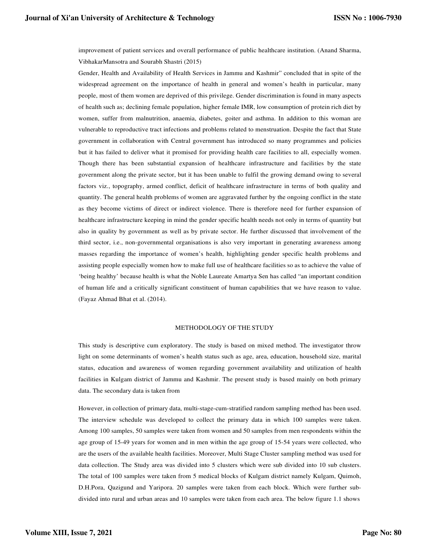improvement of patient services and overall performance of public healthcare institution. (Anand Sharma, VibhakarMansotra and Sourabh Shastri (2015)

Gender, Health and Availability of Health Services in Jammu and Kashmir" concluded that in spite of the widespread agreement on the importance of health in general and women's health in particular, many people, most of them women are deprived of this privilege. Gender discrimination is found in many aspects of health such as; declining female population, higher female IMR, low consumption of protein rich diet by women, suffer from malnutrition, anaemia, diabetes, goiter and asthma. In addition to this woman are vulnerable to reproductive tract infections and problems related to menstruation. Despite the fact that State government in collaboration with Central government has introduced so many programmes and policies but it has failed to deliver what it promised for providing health care facilities to all, especially women. Though there has been substantial expansion of healthcare infrastructure and facilities by the state government along the private sector, but it has been unable to fulfil the growing demand owing to several factors viz., topography, armed conflict, deficit of healthcare infrastructure in terms of both quality and quantity. The general health problems of women are aggravated further by the ongoing conflict in the state as they become victims of direct or indirect violence. There is therefore need for further expansion of healthcare infrastructure keeping in mind the gender specific health needs not only in terms of quantity but also in quality by government as well as by private sector. He further discussed that involvement of the third sector, i.e., non-governmental organisations is also very important in generating awareness among masses regarding the importance of women's health, highlighting gender specific health problems and assisting people especially women how to make full use of healthcare facilities so as to achieve the value of 'being healthy' because health is what the Noble Laureate Amartya Sen has called "an important condition of human life and a critically significant constituent of human capabilities that we have reason to value. (Fayaz Ahmad Bhat et al. (2014).

#### METHODOLOGY OF THE STUDY

This study is descriptive cum exploratory. The study is based on mixed method. The investigator throw light on some determinants of women's health status such as age, area, education, household size, marital status, education and awareness of women regarding government availability and utilization of health facilities in Kulgam district of Jammu and Kashmir. The present study is based mainly on both primary data. The secondary data is taken from

However, in collection of primary data, multi-stage-cum-stratified random sampling method has been used. The interview schedule was developed to collect the primary data in which 100 samples were taken. Among 100 samples, 50 samples were taken from women and 50 samples from men respondents within the age group of 15-49 years for women and in men within the age group of 15-54 years were collected, who are the users of the available health facilities. Moreover, Multi Stage Cluster sampling method was used for data collection. The Study area was divided into 5 clusters which were sub divided into 10 sub clusters. The total of 100 samples were taken from 5 medical blocks of Kulgam district namely Kulgam, Quimoh, D.H.Pora, Qazigund and Yaripora. 20 samples were taken from each block. Which were further subdivided into rural and urban areas and 10 samples were taken from each area. The below figure 1.1 shows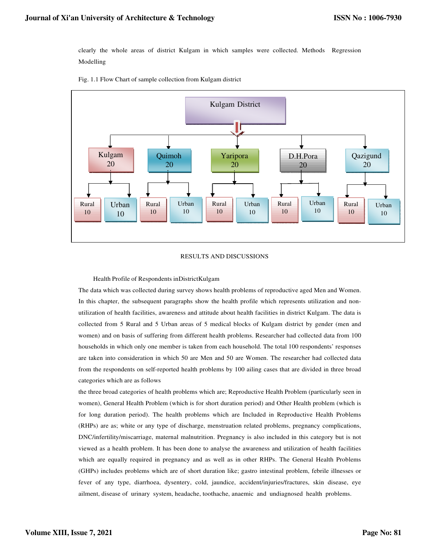clearly the whole areas of district Kulgam in which samples were collected. Methods Regression Modelling





## RESULTS AND DISCUSSIONS

### Health Profile of Respondents inDistrictKulgam

The data which was collected during survey shows health problems of reproductive aged Men and Women. In this chapter, the subsequent paragraphs show the health profile which represents utilization and nonutilization of health facilities, awareness and attitude about health facilities in district Kulgam. The data is collected from 5 Rural and 5 Urban areas of 5 medical blocks of Kulgam district by gender (men and women) and on basis of suffering from different health problems. Researcher had collected data from 100 households in which only one member is taken from each household. The total 100 respondents' responses are taken into consideration in which 50 are Men and 50 are Women. The researcher had collected data from the respondents on self-reported health problems by 100 ailing cases that are divided in three broad categories which are as follows

the three broad categories of health problems which are; Reproductive Health Problem (particularly seen in women), General Health Problem (which is for short duration period) and Other Health problem (which is for long duration period). The health problems which are Included in Reproductive Health Problems (RHPs) are as; white or any type of discharge, menstruation related problems, pregnancy complications, DNC/infertility/miscarriage, maternal malnutrition. Pregnancy is also included in this category but is not viewed as a health problem. It has been done to analyse the awareness and utilization of health facilities which are equally required in pregnancy and as well as in other RHPs. The General Health Problems (GHPs) includes problems which are of short duration like; gastro intestinal problem, febrile illnesses or fever of any type, diarrhoea, dysentery, cold, jaundice, accident/injuries/fractures, skin disease, eye ailment, disease of urinary system, headache, toothache, anaemic and undiagnosed health problems.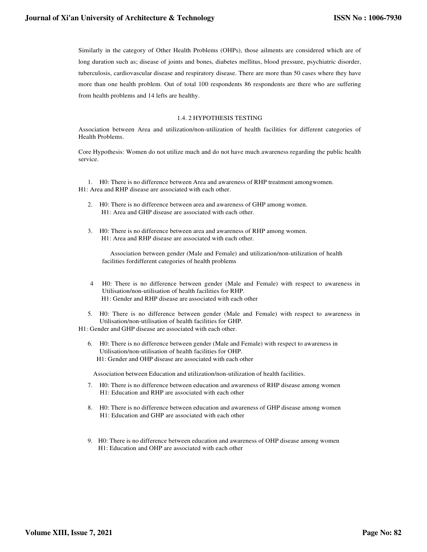Similarly in the category of Other Health Problems (OHPs), those ailments are considered which are of long duration such as; disease of joints and bones, diabetes mellitus, blood pressure, psychiatric disorder, tuberculosis, cardiovascular disease and respiratory disease. There are more than 50 cases where they have more than one health problem. Out of total 100 respondents 86 respondents are there who are suffering from health problems and 14 lefts are healthy.

## 1.4. 2 HYPOTHESIS TESTING

Association between Area and utilization/non-utilization of health facilities for different categories of Health Problems.

Core Hypothesis: Women do not utilize much and do not have much awareness regarding the public health service.

1. H0: There is no difference between Area and awareness of RHP treatment amongwomen. H1: Area and RHP disease are associated with each other.

- 2. H0: There is no difference between area and awareness of GHP among women. H1: Area and GHP disease are associated with each other.
- 3. H0: There is no difference between area and awareness of RHP among women. H1: Area and RHP disease are associated with each other.

Association between gender (Male and Female) and utilization/non-utilization of health facilities for different categories of health problems

- 4 H0: There is no difference between gender (Male and Female) with respect to awareness in Utilisation/non-utilisation of health facilities for RHP. H1: Gender and RHP disease are associated with each other
- 5. H0: There is no difference between gender (Male and Female) with respect to awareness in Utilisation/non-utilisation of health facilities for GHP.
- H1: Gender and GHP disease are associated with each other.
	- 6. H0: There is no difference between gender (Male and Female) with respect to awareness in Utilisation/non-utilisation of health facilities for OHP. H1: Gender and OHP disease are associated with each other

Association between Education and utilization/non-utilization of health facilities.

- 7. H0: There is no difference between education and awareness of RHP disease among women H1: Education and RHP are associated with each other
- 8. H0: There is no difference between education and awareness of GHP disease among women H1: Education and GHP are associated with each other
- 9. H0: There is no difference between education and awareness of OHP disease among women H1: Education and OHP are associated with each other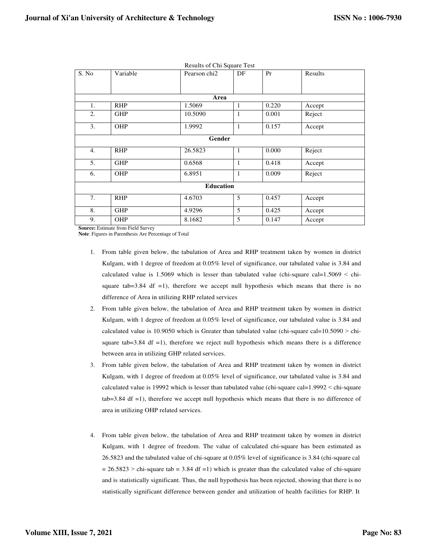| S. No            | Variable   | Pearson chi <sub>2</sub> | DF           | Pr    | Results |  |  |
|------------------|------------|--------------------------|--------------|-------|---------|--|--|
|                  |            |                          |              |       |         |  |  |
| Area             |            |                          |              |       |         |  |  |
| 1.               | <b>RHP</b> | 1.5069                   | 1            | 0.220 | Accept  |  |  |
| 2.               | <b>GHP</b> | 10.5090                  | 1            | 0.001 | Reject  |  |  |
| 3.               | OHP        | 1.9992                   | $\mathbf{1}$ | 0.157 | Accept  |  |  |
| Gender           |            |                          |              |       |         |  |  |
| 4.               | <b>RHP</b> | 26.5823                  | $\mathbf{1}$ | 0.000 | Reject  |  |  |
| 5.               | <b>GHP</b> | 0.6568                   | $\mathbf{1}$ | 0.418 | Accept  |  |  |
| 6.               | OHP        | 6.8951                   | $\mathbf{1}$ | 0.009 | Reject  |  |  |
| <b>Education</b> |            |                          |              |       |         |  |  |
| 7.               | <b>RHP</b> | 4.6703                   | 5            | 0.457 | Accept  |  |  |
| 8.               | <b>GHP</b> | 4.9296                   | 5            | 0.425 | Accept  |  |  |
| 9.               | OHP        | 8.1682                   | 5            | 0.147 | Accept  |  |  |

Results of Chi Square Test

**Source:** Estimate from Field Survey

**Note**: Figures in Parenthesis Are Percentage of Total

- 1. From table given below, the tabulation of Area and RHP treatment taken by women in district Kulgam, with 1 degree of freedom at 0.05% level of significance, our tabulated value is 3.84 and calculated value is 1.5069 which is lesser than tabulated value (chi-square cal= $1.5069 <$  chisquare tab=3.84 df =1), therefore we accept null hypothesis which means that there is no difference of Area in utilizing RHP related services
- 2. From table given below, the tabulation of Area and RHP treatment taken by women in district Kulgam, with 1 degree of freedom at 0.05% level of significance, our tabulated value is 3.84 and calculated value is 10.9050 which is Greater than tabulated value (chi-square cal= $10.5090 >$  chisquare tab=3.84 df =1), therefore we reject null hypothesis which means there is a difference between area in utilizing GHP related services.
- 3. From table given below, the tabulation of Area and RHP treatment taken by women in district Kulgam, with 1 degree of freedom at 0.05% level of significance, our tabulated value is 3.84 and calculated value is 19992 which is lesser than tabulated value (chi-square cal=1.9992 ˂ chi-square tab=3.84 df =1), therefore we accept null hypothesis which means that there is no difference of area in utilizing OHP related services.
- 4. From table given below, the tabulation of Area and RHP treatment taken by women in district Kulgam, with 1 degree of freedom. The value of calculated chi-square has been estimated as 26.5823 and the tabulated value of chi-square at 0.05% level of significance is 3.84 (chi-square cal  $= 26.5823$  > chi-square tab = 3.84 df =1) which is greater than the calculated value of chi-square and is statistically significant. Thus, the null hypothesis has been rejected, showing that there is no statistically significant difference between gender and utilization of health facilities for RHP. It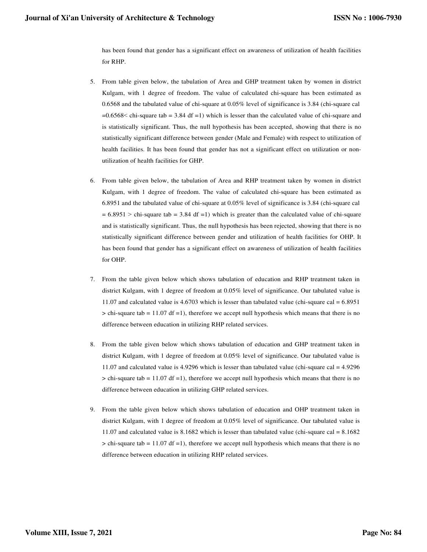has been found that gender has a significant effect on awareness of utilization of health facilities for RHP.

- 5. From table given below, the tabulation of Area and GHP treatment taken by women in district Kulgam, with 1 degree of freedom. The value of calculated chi-square has been estimated as 0.6568 and the tabulated value of chi-square at 0.05% level of significance is 3.84 (chi-square cal  $=0.6568<$  chi-square tab = 3.84 df = 1) which is lesser than the calculated value of chi-square and is statistically significant. Thus, the null hypothesis has been accepted, showing that there is no statistically significant difference between gender (Male and Female) with respect to utilization of health facilities. It has been found that gender has not a significant effect on utilization or nonutilization of health facilities for GHP.
- 6. From table given below, the tabulation of Area and RHP treatment taken by women in district Kulgam, with 1 degree of freedom. The value of calculated chi-square has been estimated as 6.8951 and the tabulated value of chi-square at 0.05% level of significance is 3.84 (chi-square cal  $= 6.8951$  > chi-square tab = 3.84 df = 1) which is greater than the calculated value of chi-square and is statistically significant. Thus, the null hypothesis has been rejected, showing that there is no statistically significant difference between gender and utilization of health facilities for OHP. It has been found that gender has a significant effect on awareness of utilization of health facilities for OHP.
- 7. From the table given below which shows tabulation of education and RHP treatment taken in district Kulgam, with 1 degree of freedom at 0.05% level of significance. Our tabulated value is 11.07 and calculated value is 4.6703 which is lesser than tabulated value (chi-square cal = 6.8951  $>$  chi-square tab = 11.07 df =1), therefore we accept null hypothesis which means that there is no difference between education in utilizing RHP related services.
- 8. From the table given below which shows tabulation of education and GHP treatment taken in district Kulgam, with 1 degree of freedom at 0.05% level of significance. Our tabulated value is 11.07 and calculated value is 4.9296 which is lesser than tabulated value (chi-square cal = 4.9296  $>$  chi-square tab = 11.07 df =1), therefore we accept null hypothesis which means that there is no difference between education in utilizing GHP related services.
- 9. From the table given below which shows tabulation of education and OHP treatment taken in district Kulgam, with 1 degree of freedom at 0.05% level of significance. Our tabulated value is 11.07 and calculated value is 8.1682 which is lesser than tabulated value (chi-square cal = 8.1682  $>$  chi-square tab = 11.07 df =1), therefore we accept null hypothesis which means that there is no difference between education in utilizing RHP related services.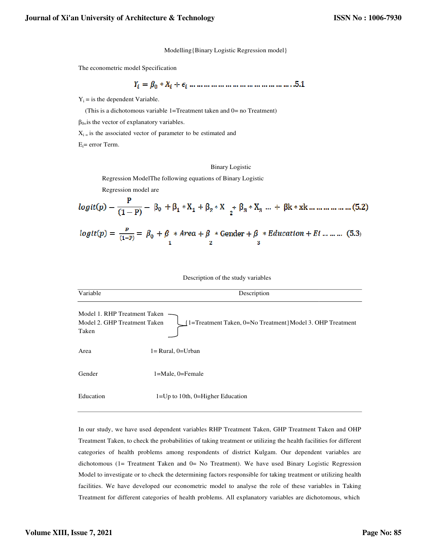Modelling{Binary Logistic Regression model}

The econometric model Specification

$$
Y_i = \beta_0 * X_i + \epsilon_i \dots \dots \dots \dots \dots \dots \dots \dots \dots \dots \dots \dots \dots 5.1
$$

 $Y_i$  = is the dependent Variable.

(This is a dichotomous variable  $1 = T$ reatment taken and  $0 =$  no Treatment)

 $\beta_{0=}$  is the vector of explanatory variables.

 $\beta_{0}$  is the vector of explanatory variables.<br> $X_{i}$  is the associated vector of parameter to be estimated and

 $E_i$ = error Term.

#### Binary Logistic

Regression ModelThe following equations of Binary Logistic

Regression model are

$$
logit(p) = \frac{p}{(1-p)} = \beta_0 + \beta * Area + \beta * Center + \beta * Education + Ei ... ...
$$
 (5.3)

Description of the study variables

| Variable                                                     | Description                                               |
|--------------------------------------------------------------|-----------------------------------------------------------|
| Model 1. RHP Treatment Taken<br>Model 2. GHP Treatment Taken | [1=Treatment Taken, 0=No Treatment Model 3. OHP Treatment |
| Taken                                                        |                                                           |
| Area                                                         | $l = Rural$ , $0 = Urban$                                 |
| Gender                                                       | $1 =$ Male, 0=Female                                      |
| Education                                                    | $1 = Up$ to 10th, 0=Higher Education                      |

In our study, we have used dependent variables RHP Treatment Taken, GHP Treatment Taken and OHP In our study, we have used dependent variables RHP Treatment Taken, GHP Treatment Taken and OHP<br>Treatment Taken, to check the probabilities of taking treatment or utilizing the health facilities for different categories of health problems among respondents of district Kulgam. Our dependent variables are dichotomous (1= Treatment Taken and 0= No Treatment). We have used Binary Logistic Regression Model to investigate or to check the determining factors responsible for taking treatment or utilizing health facilities. We have developed our econometric model to analyse the role of these variables in Taking Treatment for different categories dichotomous, whichdichotomous (1= Treatment Taken and 0= No Treatment). We have used Binary Logistic Reg<br>Model to investigate or to check the determining factors responsible for taking treatment or utilizing<br>facilities. We have developed ou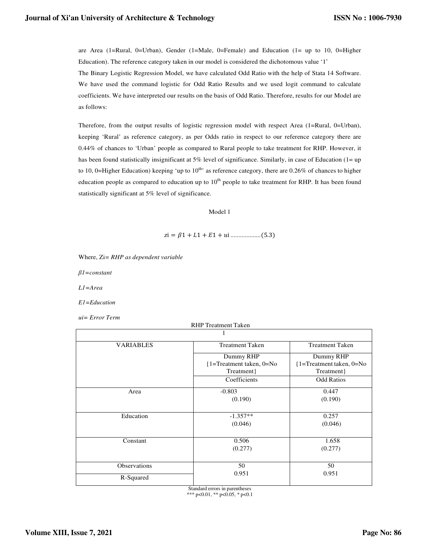are Area (1=Rural, 0=Urban), Gender (1=Male, 0=Female) and Education (1= up to 10, 0=Higher Education). The reference category taken in our model is considered the dichotomous value '1'

The Binary Logistic Regression Model, we have calculated Odd Ratio with the help of Stata 14 Software. We have used the command logistic for Odd Ratio Results and we used logit command to calculate coefficients. We have interpreted our results on the basis of Odd Ratio. Therefore, results for our Model are as follows:

Therefore, from the output results of logistic regression model with respect Area (1=Rural, 0=Urban), keeping 'Rural' as reference category, as per Odds ratio in respect to our reference category there are 0.44% of chances to 'Urban' people as compared to Rural people to take treatment for RHP. However, it has been found statistically insignificant at 5% level of significance. Similarly, in case of Education (1= up to 10, 0=Higher Education) keeping 'up to  $10^{th}$  as reference category, there are 0.26% of chances to higher education people as compared to education up to  $10<sup>th</sup>$  people to take treatment for RHP. It has been found statistically significant at 5% level of significance.

Model 1

$$
zi = \beta 1 + L1 + E1 + ui
$$
............ (5.3)

Where, Zi*= RHP as dependent variable*

*β1=constant* 

*L1=Area* 

*E1=Education* 

*ui= Error Term*

| <b>VARIABLES</b> | <b>Treatment Taken</b>                          | <b>Treatment Taken</b>                         |  |  |  |
|------------------|-------------------------------------------------|------------------------------------------------|--|--|--|
|                  | Dummy RHP                                       | Dummy RHP                                      |  |  |  |
|                  | $\{1 = \text{Treatment taken}, 0 = \text{No}\}$ | $\{1 = \text{Tredment taken}, 0 = \text{No}\}$ |  |  |  |
|                  | Treatment }                                     | Treatment }                                    |  |  |  |
|                  | Coefficients                                    | <b>Odd Ratios</b>                              |  |  |  |
| Area             | $-0.803$                                        | 0.447                                          |  |  |  |
|                  | (0.190)                                         | (0.190)                                        |  |  |  |
|                  |                                                 |                                                |  |  |  |
| Education        | $-1.357**$                                      | 0.257                                          |  |  |  |
|                  | (0.046)                                         | (0.046)                                        |  |  |  |
|                  |                                                 |                                                |  |  |  |
| Constant         | 0.506                                           | 1.658                                          |  |  |  |
|                  | (0.277)                                         | (0.277)                                        |  |  |  |
|                  |                                                 |                                                |  |  |  |
| Observations     | 50                                              | 50                                             |  |  |  |
| R-Squared        | 0.951                                           | 0.951                                          |  |  |  |
|                  |                                                 |                                                |  |  |  |

Standard errors in parentheses \*\*\* p<0.01, \*\* p<0.05, \* p<0.1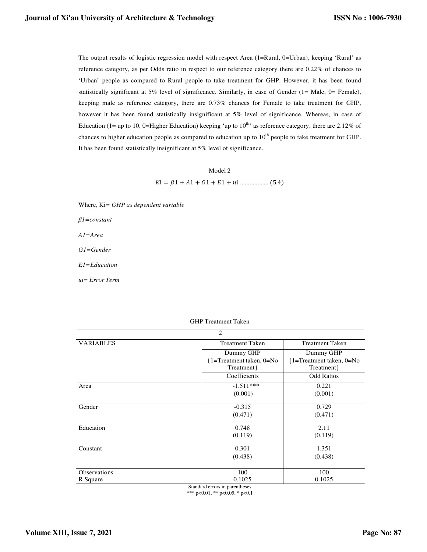The output results of logistic regression model with respect Area (1=Rural, 0=Urban), keeping 'Rural' as reference category, as per Odds ratio in respect to our reference category there are 0.22% of chances to 'Urban' people as compared to Rural people to take treatment for GHP. However, it has been found statistically significant at 5% level of significance. Similarly, in case of Gender (1= Male, 0= Female), keeping male as reference category, there are 0.73% chances for Female to take treatment for GHP, however it has been found statistically insignificant at 5% level of significance. Whereas, in case of Education (1= up to 10, 0=Higher Education) keeping 'up to  $10^{th}$ ' as reference category, there are 2.12% of chances to higher education people as compared to education up to 10<sup>th</sup> people to take treatment for GHP. It has been found statistically insignificant at 5% level of significance.

> Model 2 i = 1 + 1 + 1 + 1 + i .................. (5.4)

Where, Ki*= GHP as dependent variable*

*β1=constant* 

*A1=Area* 

*G1=Gender* 

*E1=Education* 

*ui= Error Term*

| $\overline{2}$   |                                   |                                |  |  |
|------------------|-----------------------------------|--------------------------------|--|--|
| <b>VARIABLES</b> | <b>Treatment Taken</b>            | <b>Treatment Taken</b>         |  |  |
|                  | Dummy GHP                         | Dummy GHP                      |  |  |
|                  | $\{1 = Treatment taken, 0 = No\}$ | $\{1 = T$ reatment taken, 0=No |  |  |
|                  | Treatment }                       | Treatment }                    |  |  |
|                  | Coefficients                      | <b>Odd Ratios</b>              |  |  |
| Area             | $-1.511***$                       | 0.221                          |  |  |
|                  | (0.001)                           | (0.001)                        |  |  |
| Gender           | $-0.315$                          | 0.729                          |  |  |
|                  | (0.471)                           | (0.471)                        |  |  |
| Education        | 0.748                             | 2.11                           |  |  |
|                  | (0.119)                           | (0.119)                        |  |  |
| Constant         | 0.301                             | 1.351                          |  |  |
|                  | (0.438)                           | (0.438)                        |  |  |
|                  |                                   |                                |  |  |
| Observations     | 100                               | 100                            |  |  |
| R Square         | 0.1025                            | 0.1025                         |  |  |

Standard errors in parentheses \*\*\* p<0.01, \*\* p<0.05, \* p<0.1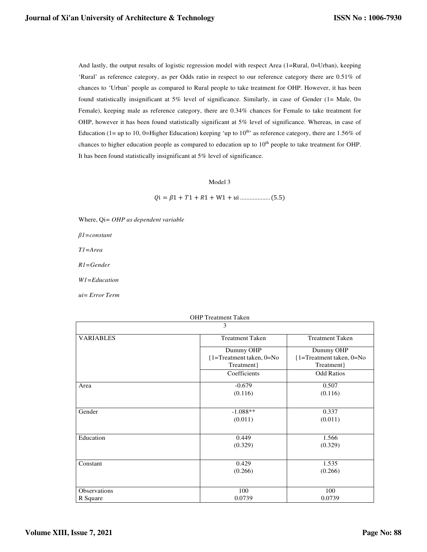And lastly, the output results of logistic regression model with respect Area (1=Rural, 0=Urban), keeping 'Rural' as reference category, as per Odds ratio in respect to our reference category there are 0.51% of chances to 'Urban' people as compared to Rural people to take treatment for OHP. However, it has been found statistically insignificant at 5% level of significance. Similarly, in case of Gender (1= Male, 0= Female), keeping male as reference category, there are 0.34% chances for Female to take treatment for OHP, however it has been found statistically significant at 5% level of significance. Whereas, in case of Education (1= up to 10, 0=Higher Education) keeping 'up to  $10^{th}$ ' as reference category, there are 1.56% of chances to higher education people as compared to education up to 10<sup>th</sup> people to take treatment for OHP. It has been found statistically insignificant at 5% level of significance.

### Model 3

i = 1 + 1 + 1 + W1 + i ................... (5.5)

Where, Qi*= OHP as dependent variable*

*β1=constant* 

*T1=Area* 

*R1=Gender* 

*W1=Education* 

*ui= Error Term*

## OHP Treatment Taken

| 3                |                                                 |                                      |  |  |
|------------------|-------------------------------------------------|--------------------------------------|--|--|
| <b>VARIABLES</b> | <b>Treatment Taken</b>                          | <b>Treatment Taken</b>               |  |  |
|                  | Dummy OHP                                       | Dummy OHP                            |  |  |
|                  | $\{1 = \text{Treatment taken}, 0 = \text{No}\}$ | $\{1 = \text{Tr}$ atment taken, 0=No |  |  |
|                  | Treatment}                                      | Treatment}                           |  |  |
|                  | Coefficients                                    | <b>Odd Ratios</b>                    |  |  |
| Area             | $-0.679$                                        | 0.507                                |  |  |
|                  | (0.116)                                         | (0.116)                              |  |  |
|                  |                                                 |                                      |  |  |
| Gender           | $-1.088**$                                      | 0.337                                |  |  |
|                  | (0.011)                                         | (0.011)                              |  |  |
|                  |                                                 |                                      |  |  |
| Education        | 0.449                                           | 1.566                                |  |  |
|                  | (0.329)                                         | (0.329)                              |  |  |
| Constant         | 0.429                                           | 1.535                                |  |  |
|                  | (0.266)                                         | (0.266)                              |  |  |
|                  |                                                 |                                      |  |  |
| Observations     | 100                                             | 100                                  |  |  |
| R Square         | 0.0739                                          | 0.0739                               |  |  |